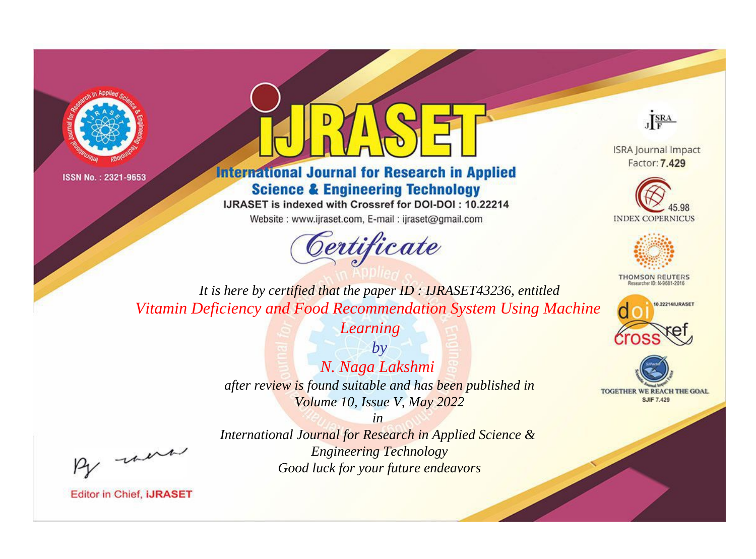



**International Journal for Research in Applied Science & Engineering Technology** 

IJRASET is indexed with Crossref for DOI-DOI: 10.22214

Website: www.ijraset.com, E-mail: ijraset@gmail.com





**ISRA Journal Impact** Factor: 7.429





**THOMSON REUTERS** 



TOGETHER WE REACH THE GOAL **SJIF 7.429** 

*It is here by certified that the paper ID : IJRASET43236, entitled Vitamin Deficiency and Food Recommendation System Using Machine* 

*Learning*

*by N. Naga Lakshmi after review is found suitable and has been published in Volume 10, Issue V, May 2022*

, un

*International Journal for Research in Applied Science & Engineering Technology Good luck for your future endeavors*

*in*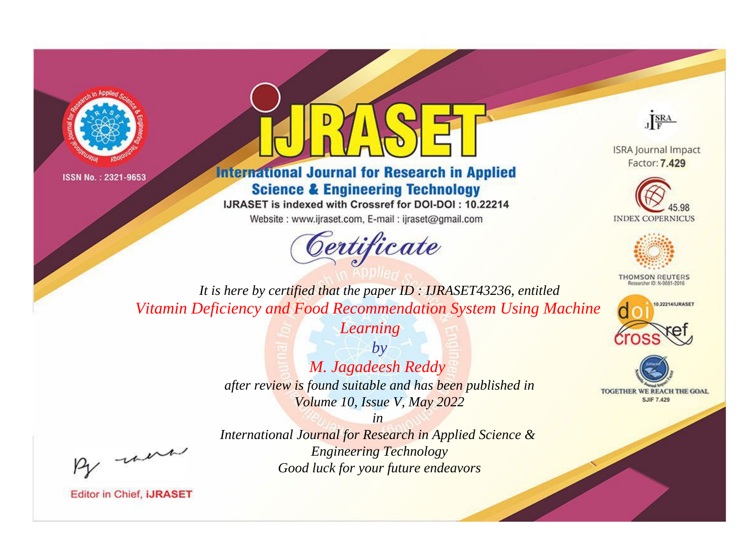



**International Journal for Research in Applied Science & Engineering Technology** 

IJRASET is indexed with Crossref for DOI-DOI: 10.22214

Website: www.ijraset.com, E-mail: ijraset@gmail.com





**ISRA Journal Impact** Factor: 7.429





**THOMSON REUTERS** 



TOGETHER WE REACH THE GOAL **SJIF 7.429** 

*It is here by certified that the paper ID : IJRASET43236, entitled Vitamin Deficiency and Food Recommendation System Using Machine* 

*Learning*

*by M. Jagadeesh Reddy after review is found suitable and has been published in Volume 10, Issue V, May 2022*

, un

*International Journal for Research in Applied Science & Engineering Technology Good luck for your future endeavors*

*in*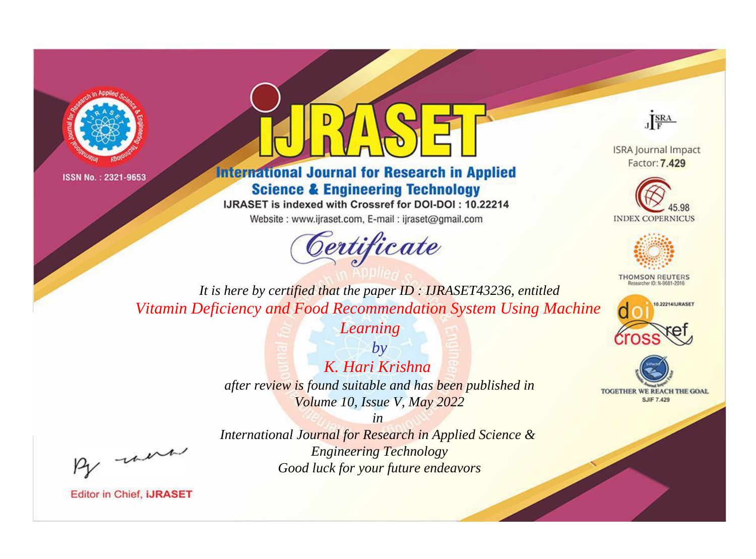



## **International Journal for Research in Applied Science & Engineering Technology**

IJRASET is indexed with Crossref for DOI-DOI: 10.22214

Website: www.ijraset.com, E-mail: ijraset@gmail.com





**ISRA Journal Impact** Factor: 7.429





**THOMSON REUTERS** 



TOGETHER WE REACH THE GOAL **SJIF 7.429** 

*It is here by certified that the paper ID : IJRASET43236, entitled Vitamin Deficiency and Food Recommendation System Using Machine* 

*Learning*

*by K. Hari Krishna after review is found suitable and has been published in Volume 10, Issue V, May 2022*

, un

*International Journal for Research in Applied Science & Engineering Technology Good luck for your future endeavors*

*in*